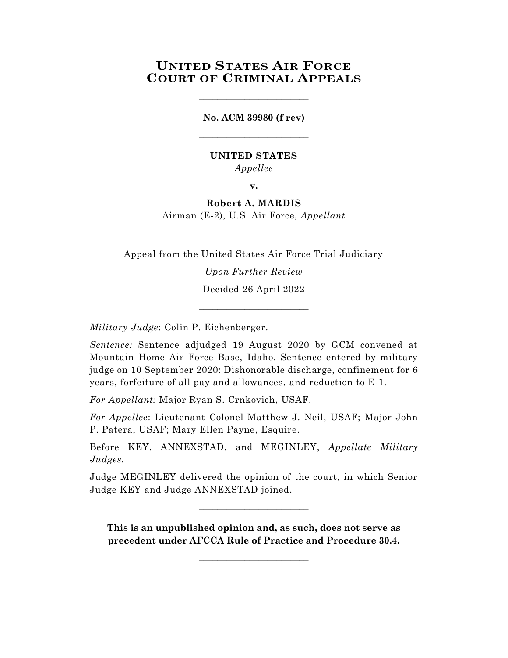# **UNITED STATES AIR FORCE COURT OF CRIMINAL APPEALS**

**No. ACM 39980 (f rev)** \_\_\_\_\_\_\_\_\_\_\_\_\_\_\_\_\_\_\_\_\_\_\_\_

\_\_\_\_\_\_\_\_\_\_\_\_\_\_\_\_\_\_\_\_\_\_\_\_

## **UNITED STATES** *Appellee*

**v.**

**Robert A. MARDIS** Airman (E-2), U.S. Air Force, *Appellant*

\_\_\_\_\_\_\_\_\_\_\_\_\_\_\_\_\_\_\_\_\_\_\_\_

Appeal from the United States Air Force Trial Judiciary *Upon Further Review*

> Decided 26 April 2022 \_\_\_\_\_\_\_\_\_\_\_\_\_\_\_\_\_\_\_\_\_\_\_\_

*Military Judge*: Colin P. Eichenberger.

*Sentence:* Sentence adjudged 19 August 2020 by GCM convened at Mountain Home Air Force Base, Idaho. Sentence entered by military judge on 10 September 2020: Dishonorable discharge, confinement for 6 years, forfeiture of all pay and allowances, and reduction to E-1.

*For Appellant:* Major Ryan S. Crnkovich, USAF.

*For Appellee*: Lieutenant Colonel Matthew J. Neil, USAF; Major John P. Patera, USAF; Mary Ellen Payne, Esquire.

Before KEY, ANNEXSTAD, and MEGINLEY, *Appellate Military Judges.*

Judge MEGINLEY delivered the opinion of the court, in which Senior Judge KEY and Judge ANNEXSTAD joined.

 $\_$ 

**This is an unpublished opinion and, as such, does not serve as precedent under AFCCA Rule of Practice and Procedure 30.4.**

 $\_$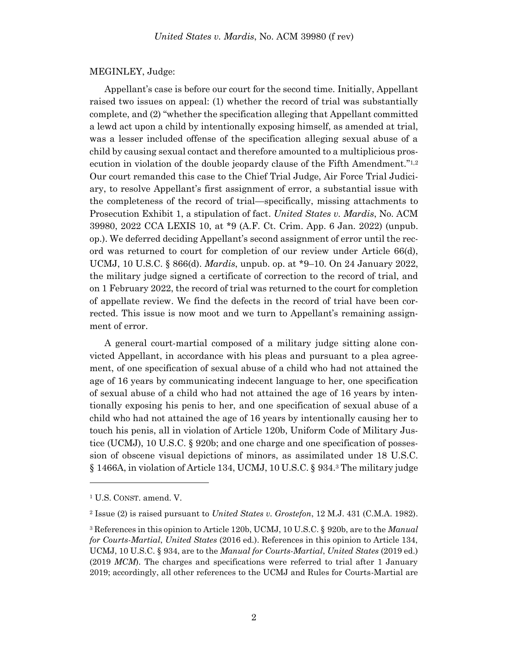#### MEGINLEY, Judge:

Appellant's case is before our court for the second time. Initially, Appellant raised two issues on appeal: (1) whether the record of trial was substantially complete, and (2) "whether the specification alleging that Appellant committed a lewd act upon a child by intentionally exposing himself, as amended at trial, was a lesser included offense of the specification alleging sexual abuse of a child by causing sexual contact and therefore amounted to a multiplicious prosecution in violation of the double jeopardy clause of the Fifth Amendment."<sup>1,2</sup> Our court remanded this case to the Chief Trial Judge, Air Force Trial Judiciary, to resolve Appellant's first assignment of error, a substantial issue with the completeness of the record of trial—specifically, missing attachments to Prosecution Exhibit 1, a stipulation of fact. *United States v. Mardis*, No. ACM 39980, 2022 CCA LEXIS 10, at \*9 (A.F. Ct. Crim. App. 6 Jan. 2022) (unpub. op.). We deferred deciding Appellant's second assignment of error until the record was returned to court for completion of our review under Article 66(d), UCMJ, 10 U.S.C. § 866(d). *Mardis*, unpub. op. at \*9–10. On 24 January 2022, the military judge signed a certificate of correction to the record of trial, and on 1 February 2022, the record of trial was returned to the court for completion of appellate review. We find the defects in the record of trial have been corrected. This issue is now moot and we turn to Appellant's remaining assignment of error.

A general court-martial composed of a military judge sitting alone convicted Appellant, in accordance with his pleas and pursuant to a plea agreement, of one specification of sexual abuse of a child who had not attained the age of 16 years by communicating indecent language to her, one specification of sexual abuse of a child who had not attained the age of 16 years by intentionally exposing his penis to her, and one specification of sexual abuse of a child who had not attained the age of 16 years by intentionally causing her to touch his penis, all in violation of Article 120b, Uniform Code of Military Justice (UCMJ), 10 U.S.C. § 920b; and one charge and one specification of possession of obscene visual depictions of minors, as assimilated under 18 U.S.C. § 1466A, in violation of Article 134, UCMJ, 10 U.S.C. § 934. <sup>3</sup> The military judge

l

<sup>1</sup> U.S. CONST. amend. V.

<sup>2</sup> Issue (2) is raised pursuant to *United States v. Grostefon*, 12 M.J. 431 (C.M.A. 1982).

<sup>3</sup> References in this opinion to Article 120b, UCMJ, 10 U.S.C. § 920b, are to the *Manual for Courts-Martial*, *United States* (2016 ed.). References in this opinion to Article 134, UCMJ, 10 U.S.C. § 934, are to the *Manual for Courts-Martial*, *United States* (2019 ed.) (2019 *MCM*). The charges and specifications were referred to trial after 1 January 2019; accordingly, all other references to the UCMJ and Rules for Courts-Martial are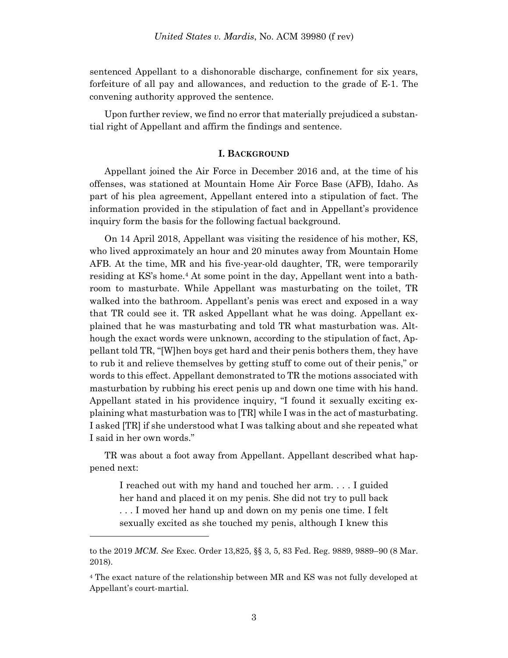sentenced Appellant to a dishonorable discharge, confinement for six years, forfeiture of all pay and allowances, and reduction to the grade of E-1. The convening authority approved the sentence.

Upon further review, we find no error that materially prejudiced a substantial right of Appellant and affirm the findings and sentence.

#### **I. BACKGROUND**

Appellant joined the Air Force in December 2016 and, at the time of his offenses, was stationed at Mountain Home Air Force Base (AFB), Idaho. As part of his plea agreement, Appellant entered into a stipulation of fact. The information provided in the stipulation of fact and in Appellant's providence inquiry form the basis for the following factual background.

On 14 April 2018, Appellant was visiting the residence of his mother, KS, who lived approximately an hour and 20 minutes away from Mountain Home AFB. At the time, MR and his five-year-old daughter, TR, were temporarily residing at KS's home.<sup>4</sup> At some point in the day, Appellant went into a bathroom to masturbate. While Appellant was masturbating on the toilet, TR walked into the bathroom. Appellant's penis was erect and exposed in a way that TR could see it. TR asked Appellant what he was doing. Appellant explained that he was masturbating and told TR what masturbation was. Although the exact words were unknown, according to the stipulation of fact, Appellant told TR, "[W]hen boys get hard and their penis bothers them, they have to rub it and relieve themselves by getting stuff to come out of their penis," or words to this effect. Appellant demonstrated to TR the motions associated with masturbation by rubbing his erect penis up and down one time with his hand. Appellant stated in his providence inquiry, "I found it sexually exciting explaining what masturbation was to [TR] while I was in the act of masturbating. I asked [TR] if she understood what I was talking about and she repeated what I said in her own words."

TR was about a foot away from Appellant. Appellant described what happened next:

I reached out with my hand and touched her arm. . . . I guided her hand and placed it on my penis. She did not try to pull back . . . I moved her hand up and down on my penis one time. I felt sexually excited as she touched my penis, although I knew this

l

to the 2019 *MCM*. *See* Exec. Order 13,825, §§ 3, 5, 83 Fed. Reg. 9889, 9889–90 (8 Mar. 2018).

<sup>4</sup> The exact nature of the relationship between MR and KS was not fully developed at Appellant's court-martial.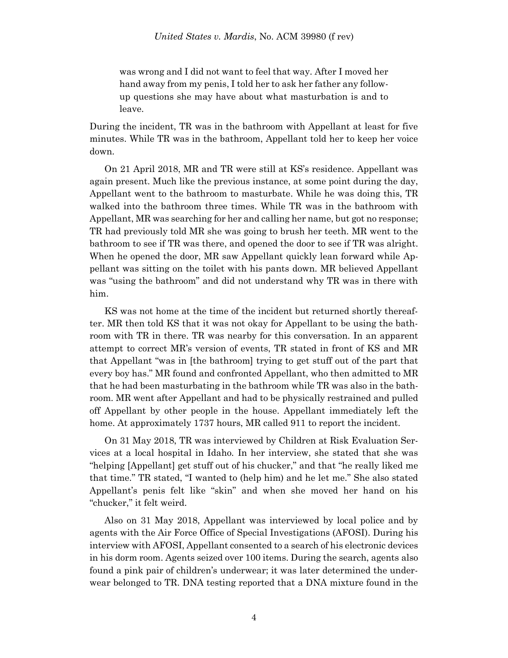was wrong and I did not want to feel that way. After I moved her hand away from my penis, I told her to ask her father any followup questions she may have about what masturbation is and to leave.

During the incident, TR was in the bathroom with Appellant at least for five minutes. While TR was in the bathroom, Appellant told her to keep her voice down.

On 21 April 2018, MR and TR were still at KS's residence. Appellant was again present. Much like the previous instance, at some point during the day, Appellant went to the bathroom to masturbate. While he was doing this, TR walked into the bathroom three times. While TR was in the bathroom with Appellant, MR was searching for her and calling her name, but got no response; TR had previously told MR she was going to brush her teeth. MR went to the bathroom to see if TR was there, and opened the door to see if TR was alright. When he opened the door, MR saw Appellant quickly lean forward while Appellant was sitting on the toilet with his pants down. MR believed Appellant was "using the bathroom" and did not understand why TR was in there with him.

KS was not home at the time of the incident but returned shortly thereafter. MR then told KS that it was not okay for Appellant to be using the bathroom with TR in there. TR was nearby for this conversation. In an apparent attempt to correct MR's version of events, TR stated in front of KS and MR that Appellant "was in [the bathroom] trying to get stuff out of the part that every boy has." MR found and confronted Appellant, who then admitted to MR that he had been masturbating in the bathroom while TR was also in the bathroom. MR went after Appellant and had to be physically restrained and pulled off Appellant by other people in the house. Appellant immediately left the home. At approximately 1737 hours, MR called 911 to report the incident.

On 31 May 2018, TR was interviewed by Children at Risk Evaluation Services at a local hospital in Idaho. In her interview, she stated that she was "helping [Appellant] get stuff out of his chucker," and that "he really liked me that time." TR stated, "I wanted to (help him) and he let me." She also stated Appellant's penis felt like "skin" and when she moved her hand on his "chucker," it felt weird.

Also on 31 May 2018, Appellant was interviewed by local police and by agents with the Air Force Office of Special Investigations (AFOSI). During his interview with AFOSI, Appellant consented to a search of his electronic devices in his dorm room. Agents seized over 100 items. During the search, agents also found a pink pair of children's underwear; it was later determined the underwear belonged to TR. DNA testing reported that a DNA mixture found in the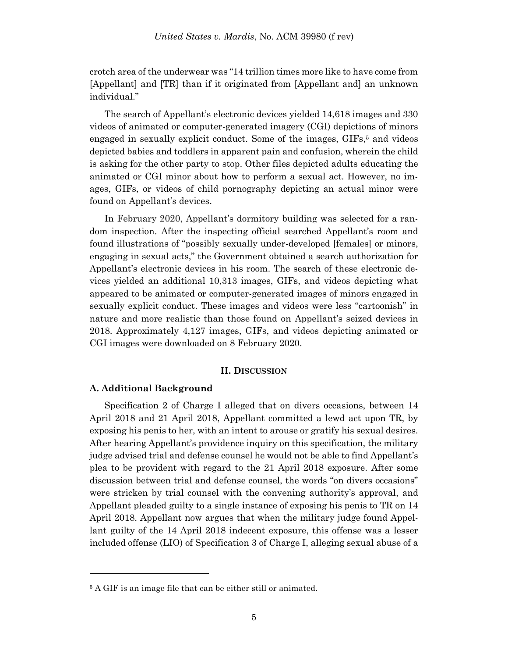crotch area of the underwear was "14 trillion times more like to have come from [Appellant] and [TR] than if it originated from [Appellant and] an unknown individual."

The search of Appellant's electronic devices yielded 14,618 images and 330 videos of animated or computer-generated imagery (CGI) depictions of minors engaged in sexually explicit conduct. Some of the images, GIFs, <sup>5</sup> and videos depicted babies and toddlers in apparent pain and confusion, wherein the child is asking for the other party to stop. Other files depicted adults educating the animated or CGI minor about how to perform a sexual act. However, no images, GIFs, or videos of child pornography depicting an actual minor were found on Appellant's devices.

In February 2020, Appellant's dormitory building was selected for a random inspection. After the inspecting official searched Appellant's room and found illustrations of "possibly sexually under-developed [females] or minors, engaging in sexual acts," the Government obtained a search authorization for Appellant's electronic devices in his room. The search of these electronic devices yielded an additional 10,313 images, GIFs, and videos depicting what appeared to be animated or computer-generated images of minors engaged in sexually explicit conduct. These images and videos were less "cartoonish" in nature and more realistic than those found on Appellant's seized devices in 2018. Approximately 4,127 images, GIFs, and videos depicting animated or CGI images were downloaded on 8 February 2020.

#### **II. DISCUSSION**

### **A. Additional Background**

l

Specification 2 of Charge I alleged that on divers occasions, between 14 April 2018 and 21 April 2018, Appellant committed a lewd act upon TR, by exposing his penis to her, with an intent to arouse or gratify his sexual desires. After hearing Appellant's providence inquiry on this specification, the military judge advised trial and defense counsel he would not be able to find Appellant's plea to be provident with regard to the 21 April 2018 exposure. After some discussion between trial and defense counsel, the words "on divers occasions" were stricken by trial counsel with the convening authority's approval, and Appellant pleaded guilty to a single instance of exposing his penis to TR on 14 April 2018. Appellant now argues that when the military judge found Appellant guilty of the 14 April 2018 indecent exposure, this offense was a lesser included offense (LIO) of Specification 3 of Charge I, alleging sexual abuse of a

<sup>5</sup> A GIF is an image file that can be either still or animated.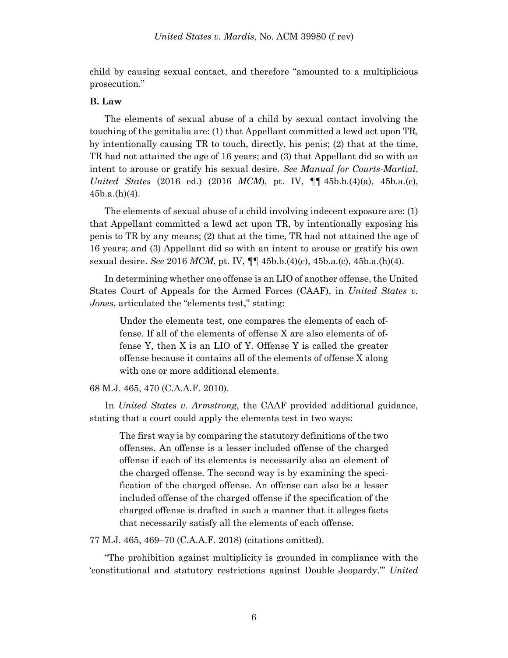child by causing sexual contact, and therefore "amounted to a multiplicious prosecution."

## **B. Law**

The elements of sexual abuse of a child by sexual contact involving the touching of the genitalia are: (1) that Appellant committed a lewd act upon TR, by intentionally causing TR to touch, directly, his penis; (2) that at the time, TR had not attained the age of 16 years; and (3) that Appellant did so with an intent to arouse or gratify his sexual desire. *See Manual for Courts-Martial*, *United States* (2016 ed.) (2016 *MCM*), pt. IV, ¶¶ 45b.b.(4)(a), 45b.a.(c),  $45b.a.(h)(4)$ .

The elements of sexual abuse of a child involving indecent exposure are: (1) that Appellant committed a lewd act upon TR, by intentionally exposing his penis to TR by any means; (2) that at the time, TR had not attained the age of 16 years; and (3) Appellant did so with an intent to arouse or gratify his own sexual desire. *See* 2016 *MCM*, pt. IV, ¶¶ 45b.b.(4)(c), 45b.a.(c), 45b.a.(h)(4).

In determining whether one offense is an LIO of another offense, the United States Court of Appeals for the Armed Forces (CAAF), in *United States v. Jones*, articulated the "elements test," stating:

Under the elements test, one compares the elements of each offense. If all of the elements of offense X are also elements of offense Y, then X is an LIO of Y. Offense Y is called the greater offense because it contains all of the elements of offense X along with one or more additional elements.

68 M.J. 465, 470 (C.A.A.F. 2010).

 In *United States v. Armstrong*, the CAAF provided additional guidance, stating that a court could apply the elements test in two ways:

The first way is by comparing the statutory definitions of the two offenses. An offense is a lesser included offense of the charged offense if each of its elements is necessarily also an element of the charged offense. The second way is by examining the specification of the charged offense. An offense can also be a lesser included offense of the charged offense if the specification of the charged offense is drafted in such a manner that it alleges facts that necessarily satisfy all the elements of each offense.

77 M.J. 465, 469–70 (C.A.A.F. 2018) (citations omitted).

"The prohibition against multiplicity is grounded in compliance with the 'constitutional and statutory restrictions against Double Jeopardy.'" *United*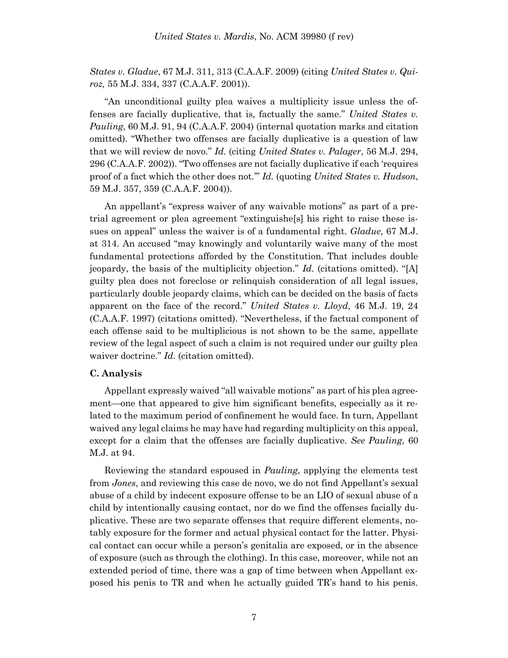*States v. Gladue*, 67 M.J. 311, 313 (C.A.A.F. 2009) (citing *United States v. Quiroz,* 55 M.J. 334, 337 (C.A.A.F. 2001)).

"An unconditional guilty plea waives a multiplicity issue unless the offenses are facially duplicative, that is, factually the same." *United States v. Pauling*, 60 M.J. 91, 94 (C.A.A.F. 2004) (internal quotation marks and citation omitted). "Whether two offenses are facially duplicative is a question of law that we will review de novo." *Id.* (citing *United States v. Palager*, 56 M.J. 294, 296 (C.A.A.F. 2002)). "Two offenses are not facially duplicative if each 'requires proof of a fact which the other does not.'" *Id.* (quoting *United States v. Hudson*, 59 M.J. 357, 359 (C.A.A.F. 2004)).

An appellant's "express waiver of any waivable motions" as part of a pretrial agreement or plea agreement "extinguishe[s] his right to raise these issues on appeal" unless the waiver is of a fundamental right. *Gladue*[, 67 M.J.](https://advance.lexis.com/document/?pdmfid=1000516&crid=d8753226-d342-4bcd-b491-289fcb1ce1cb&pddocfullpath=%2Fshared%2Fdocument%2Fcases%2Furn%3AcontentItem%3A586X-3KX1-F04C-B002-00000-00&pdcontentcomponentid=7814&pdshepid=urn%3AcontentItem%3A5870-GWH1-J9X6-H48Y-00000-00&pdteaserkey=sr2&pditab=allpods&ecomp=fbh4k&earg=sr2&prid=6f4398bf-3b76-4682-bf03-7710a52c4c07)  [at 314.](https://advance.lexis.com/document/?pdmfid=1000516&crid=d8753226-d342-4bcd-b491-289fcb1ce1cb&pddocfullpath=%2Fshared%2Fdocument%2Fcases%2Furn%3AcontentItem%3A586X-3KX1-F04C-B002-00000-00&pdcontentcomponentid=7814&pdshepid=urn%3AcontentItem%3A5870-GWH1-J9X6-H48Y-00000-00&pdteaserkey=sr2&pditab=allpods&ecomp=fbh4k&earg=sr2&prid=6f4398bf-3b76-4682-bf03-7710a52c4c07) An accused "may knowingly and voluntarily waive many of the most fundamental protections afforded by the Constitution. That includes double jeopardy, the basis of the multiplicity objection." *Id*. (citations omitted). "[A] guilty plea does not foreclose or relinquish consideration of all legal issues, particularly double jeopardy claims, which can be decided on the basis of facts apparent on the face of the record." *United States v. Lloyd*, 46 M.J. 19, 24 (C.A.A.F. 1997) (citations omitted). "Nevertheless, if the factual component of each offense said to be multiplicious is not shown to be the same, appellate review of the legal aspect of such a claim is not required under our guilty plea waiver doctrine." *Id*. (citation omitted).

#### **C. Analysis**

Appellant expressly waived "all waivable motions" as part of his plea agreement—one that appeared to give him significant benefits, especially as it related to the maximum period of confinement he would face. In turn, Appellant waived any legal claims he may have had regarding multiplicity on this appeal, except for a claim that the offenses are facially duplicative. *See Pauling*, 60 M.J. at 94.

Reviewing the standard espoused in *Pauling*, applying the elements test from *Jones*, and reviewing this case de novo, we do not find Appellant's sexual abuse of a child by indecent exposure offense to be an LIO of sexual abuse of a child by intentionally causing contact, nor do we find the offenses facially duplicative. These are two separate offenses that require different elements, notably exposure for the former and actual physical contact for the latter. Physical contact can occur while a person's genitalia are exposed, or in the absence of exposure (such as through the clothing). In this case, moreover, while not an extended period of time, there was a gap of time between when Appellant exposed his penis to TR and when he actually guided TR's hand to his penis.